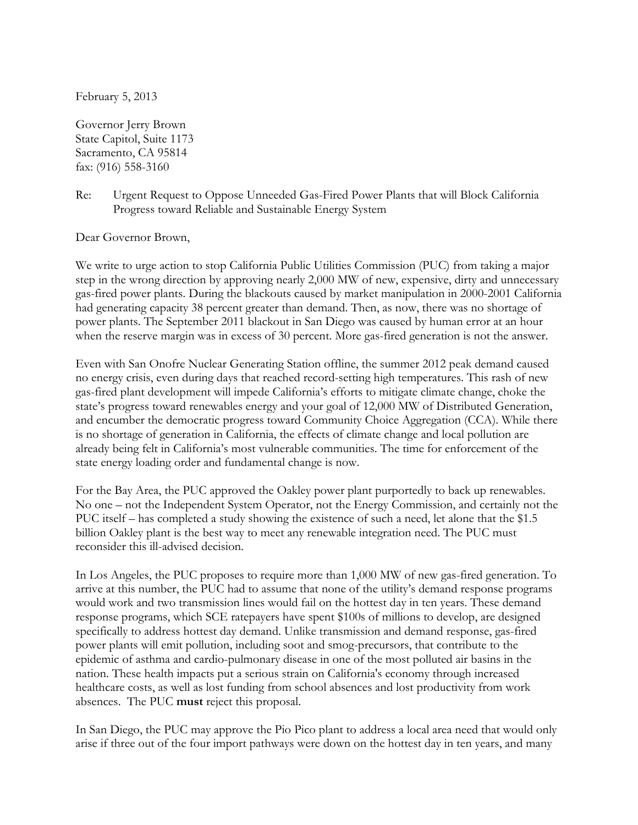February 5, 2013

Governor Jerry Brown State Capitol, Suite 1173 Sacramento, CA 95814 fax: (916) 558-3160

Re: Urgent Request to Oppose Unneeded Gas-Fired Power Plants that will Block California Progress toward Reliable and Sustainable Energy System

Dear Governor Brown,

We write to urge action to stop California Public Utilities Commission (PUC) from taking a major step in the wrong direction by approving nearly 2,000 MW of new, expensive, dirty and unnecessary gas-fired power plants. During the blackouts caused by market manipulation in 2000-2001 California had generating capacity 38 percent greater than demand. Then, as now, there was no shortage of power plants. The September 2011 blackout in San Diego was caused by human error at an hour when the reserve margin was in excess of 30 percent. More gas-fired generation is not the answer.

Even with San Onofre Nuclear Generating Station offline, the summer 2012 peak demand caused no energy crisis, even during days that reached record-setting high temperatures. This rash of new gas-fired plant development will impede California's efforts to mitigate climate change, choke the state's progress toward renewables energy and your goal of 12,000 MW of Distributed Generation, and encumber the democratic progress toward Community Choice Aggregation (CCA). While there is no shortage of generation in California, the effects of climate change and local pollution are already being felt in California's most vulnerable communities. The time for enforcement of the state energy loading order and fundamental change is now.

For the Bay Area, the PUC approved the Oakley power plant purportedly to back up renewables. No one – not the Independent System Operator, not the Energy Commission, and certainly not the PUC itself – has completed a study showing the existence of such a need, let alone that the \$1.5 billion Oakley plant is the best way to meet any renewable integration need. The PUC must reconsider this ill-advised decision.

In Los Angeles, the PUC proposes to require more than 1,000 MW of new gas-fired generation. To arrive at this number, the PUC had to assume that none of the utility's demand response programs would work and two transmission lines would fail on the hottest day in ten years. These demand response programs, which SCE ratepayers have spent \$100s of millions to develop, are designed specifically to address hottest day demand. Unlike transmission and demand response, gas-fired power plants will emit pollution, including soot and smog-precursors, that contribute to the epidemic of asthma and cardio-pulmonary disease in one of the most polluted air basins in the nation. These health impacts put a serious strain on California's economy through increased healthcare costs, as well as lost funding from school absences and lost productivity from work absences. The PUC **must** reject this proposal.

In San Diego, the PUC may approve the Pio Pico plant to address a local area need that would only arise if three out of the four import pathways were down on the hottest day in ten years, and many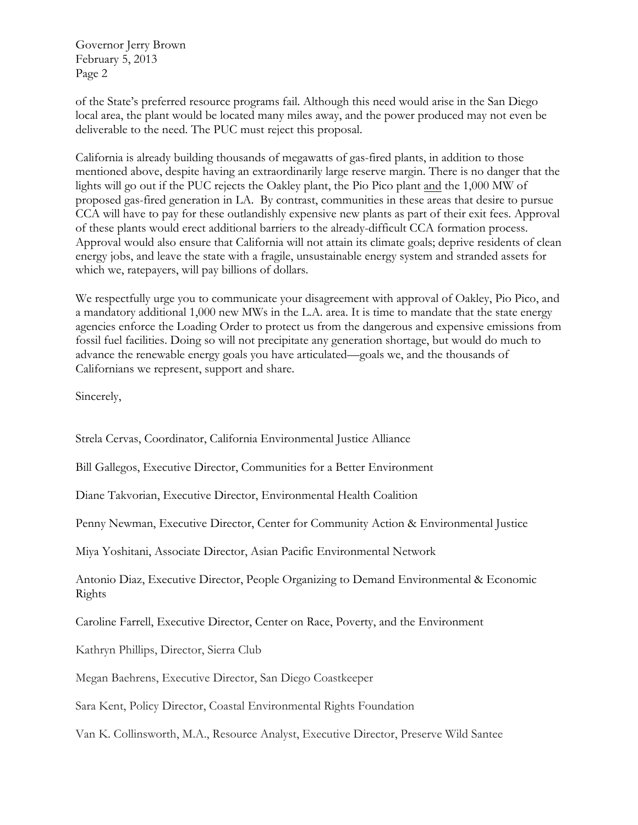Governor Jerry Brown February 5, 2013 Page 2

of the State's preferred resource programs fail. Although this need would arise in the San Diego local area, the plant would be located many miles away, and the power produced may not even be deliverable to the need. The PUC must reject this proposal.

California is already building thousands of megawatts of gas-fired plants, in addition to those mentioned above, despite having an extraordinarily large reserve margin. There is no danger that the lights will go out if the PUC rejects the Oakley plant, the Pio Pico plant and the 1,000 MW of proposed gas-fired generation in LA. By contrast, communities in these areas that desire to pursue CCA will have to pay for these outlandishly expensive new plants as part of their exit fees. Approval of these plants would erect additional barriers to the already-difficult CCA formation process. Approval would also ensure that California will not attain its climate goals; deprive residents of clean energy jobs, and leave the state with a fragile, unsustainable energy system and stranded assets for which we, ratepayers, will pay billions of dollars.

We respectfully urge you to communicate your disagreement with approval of Oakley, Pio Pico, and a mandatory additional 1,000 new MWs in the L.A. area. It is time to mandate that the state energy agencies enforce the Loading Order to protect us from the dangerous and expensive emissions from fossil fuel facilities. Doing so will not precipitate any generation shortage, but would do much to advance the renewable energy goals you have articulated—goals we, and the thousands of Californians we represent, support and share.

Sincerely,

Strela Cervas, Coordinator, California Environmental Justice Alliance

Bill Gallegos, Executive Director, Communities for a Better Environment

Diane Takvorian, Executive Director, Environmental Health Coalition

Penny Newman, Executive Director, Center for Community Action & Environmental Justice

Miya Yoshitani, Associate Director, Asian Pacific Environmental Network

Antonio Diaz, Executive Director, People Organizing to Demand Environmental & Economic Rights

Caroline Farrell, Executive Director, Center on Race, Poverty, and the Environment

Kathryn Phillips, Director, Sierra Club

Megan Baehrens, Executive Director, San Diego Coastkeeper

Sara Kent, Policy Director, Coastal Environmental Rights Foundation

Van K. Collinsworth, M.A., Resource Analyst, Executive Director, Preserve Wild Santee